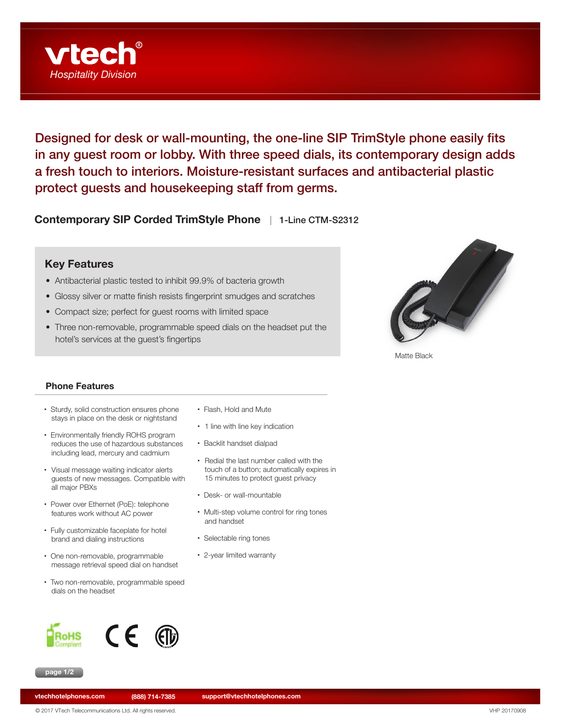

Designed for desk or wall-mounting, the one-line SIP TrimStyle phone easily fits in any guest room or lobby. With three speed dials, its contemporary design adds a fresh touch to interiors. Moisture-resistant surfaces and antibacterial plastic protect guests and housekeeping staff from germs.

**Contemporary SIP Corded TrimStyle Phone** | 1-Line CTM-S2312

## **Key Features**

- Antibacterial plastic tested to inhibit 99.9% of bacteria growth
- Glossy silver or matte finish resists fingerprint smudges and scratches
- Compact size; perfect for guest rooms with limited space
- Three non-removable, programmable speed dials on the headset put the hotel's services at the guest's fingertips



Matte Black

## **Phone Features**

- Sturdy, solid construction ensures phone stays in place on the desk or nightstand
- Environmentally friendly ROHS program reduces the use of hazardous substances including lead, mercury and cadmium
- Visual message waiting indicator alerts guests of new messages. Compatible with all major PBXs
- Power over Ethernet (PoE): telephone features work without AC power
- Fully customizable faceplate for hotel brand and dialing instructions
- One non-removable, programmable message retrieval speed dial on handset
- Two non-removable, programmable speed dials on the headset





• Flash, Hold and Mute • 1 line with line key indication

- • Backlit handset dialpad
- Redial the last number called with the touch of a button; automatically expires in 15 minutes to protect guest privacy
- Desk- or wall-mountable
- Multi-step volume control for ring tones and handset
- Selectable ring tones
- 2-year limited warranty